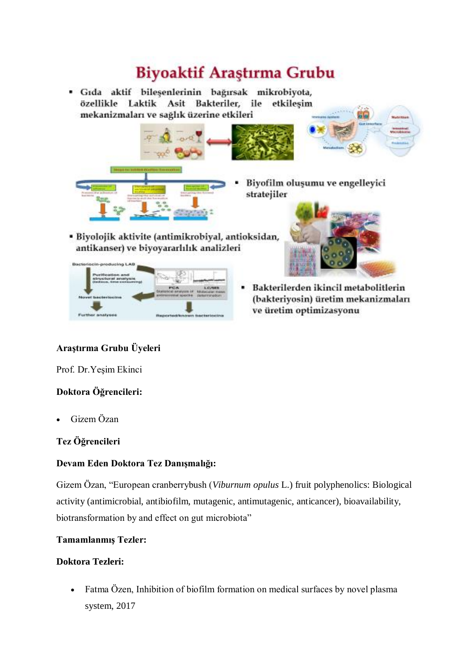# **Biyoaktif Araştırma Grubu**

· Gıda aktif bilesenlerinin bağırsak mikrobiyota, özellikle Laktik Asit Bakteriler, ile etkilesim mekanizmaları ve sağlık üzerine etkileri Biyofilm oluşumu ve engelleyici stratejiler · Biyolojik aktivite (antimikrobiyal, antioksidan, antikanser) ve biyoyararlılık analizleri in-producing LAD Bakterilerden ikincil metabolitlerin (bakteriyosin) üretim mekanizmaları ve üretim optimizasyonu

## **Araştırma Grubu Üyeleri**

Prof. Dr.Yeşim Ekinci

er ansty

### **Doktora Öğrencileri:**

Gizem Özan

### **Tez Öğrencileri**

### **Devam Eden Doktora Tez Danışmalığı:**

Gizem Özan, "European cranberrybush (*Viburnum opulus* L.) fruit polyphenolics: Biological activity (antimicrobial, antibiofilm, mutagenic, antimutagenic, anticancer), bioavailability, biotransformation by and effect on gut microbiota"

#### **Tamamlanmış Tezler:**

#### **Doktora Tezleri:**

 Fatma Özen, Inhibition of biofilm formation on medical surfaces by novel plasma system, 2017